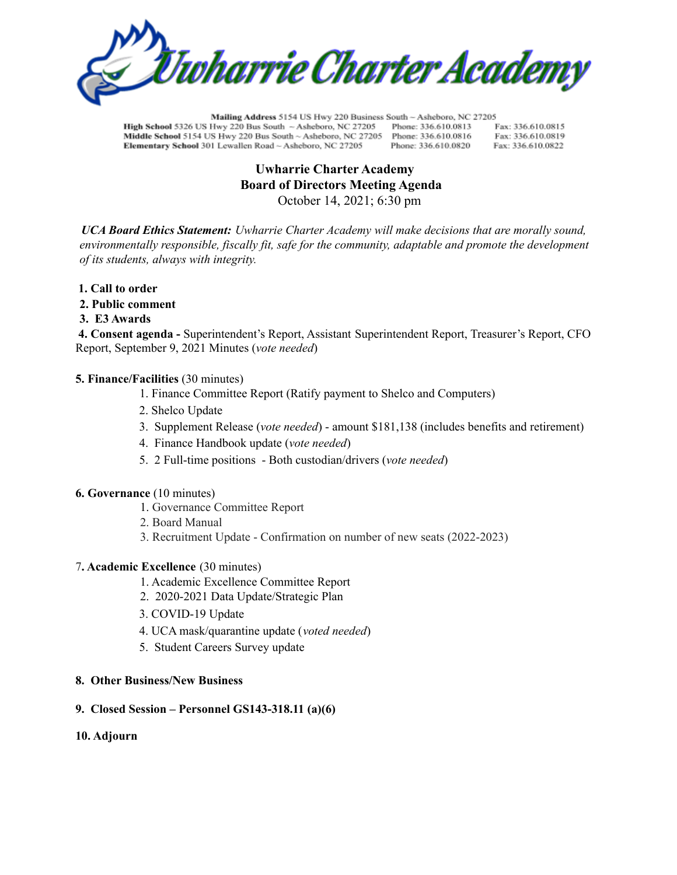

Mailing Address 5154 US Hwy 220 Business South - Asheboro, NC 27205 High School 5326 US Hwy 220 Bus South ~ Asheboro, NC 27205 Phone: 336.610.0813 Fax: 336,610,0815 Middle School 5154 US Hwy 220 Bus South ~ Asheboro, NC 27205 Phone: 336.610.0816 Fax: 336.610.0819 Elementary School 301 Lewallen Road ~ Asheboro, NC 27205 Phone: 336.610.0820 Fax: 336.610.0822

# **Uwharrie Charter Academy Board of Directors Meeting Agenda** October 14, 2021; 6:30 pm

*UCA Board Ethics Statement: Uwharrie Charter Academy will make decisions that are morally sound, environmentally responsible, fiscally fit, safe for the community, adaptable and promote the development of its students, always with integrity.*

- **1. Call to order**
- **2. Public comment**
- **3. E3 Awards**

**4. Consent agenda -** Superintendent's Report, Assistant Superintendent Report, Treasurer's Report, CFO Report, September 9, 2021 Minutes (*vote needed*)

### **5. Finance/Facilities** (30 minutes)

- 1. Finance Committee Report (Ratify payment to Shelco and Computers)
- 2. Shelco Update
- 3. Supplement Release (*vote needed*) amount \$181,138 (includes benefits and retirement)
- 4. Finance Handbook update (*vote needed*)
- 5. 2 Full-time positions Both custodian/drivers (*vote needed*)

### **6. Governance** (10 minutes)

- 1. Governance Committee Report
- 2. Board Manual
- 3. Recruitment Update Confirmation on number of new seats (2022-2023)

# 7**. Academic Excellence** (30 minutes)

- 1. Academic Excellence Committee Report
- 2. 2020-2021 Data Update/Strategic Plan
- 3. COVID-19 Update
- 4. UCA mask/quarantine update (*voted needed*)
- 5. Student Careers Survey update

## **8. Other Business/New Business**

### **9. Closed Session – Personnel GS143-318.11 (a)(6)**

## **10. Adjourn**